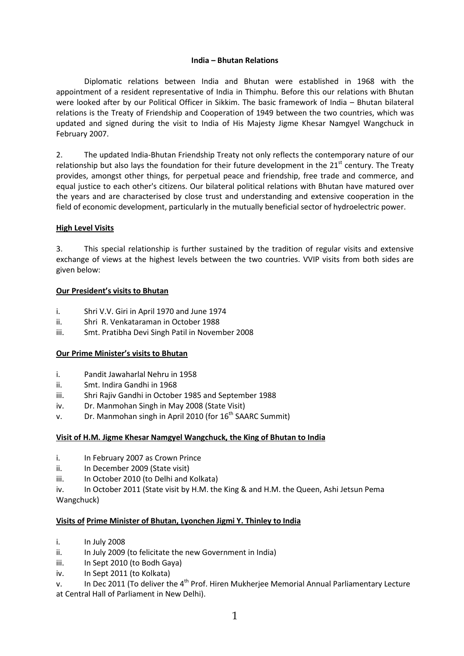#### **India – Bhutan Relations**

Diplomatic relations between India and Bhutan were established in 1968 with the appointment of a resident representative of India in Thimphu. Before this our relations with Bhutan were looked after by our Political Officer in Sikkim. The basic framework of India – Bhutan bilateral relations is the Treaty of Friendship and Cooperation of 1949 between the two countries, which was updated and signed during the visit to India of His Majesty Jigme Khesar Namgyel Wangchuck in February 2007.

2. The updated India-Bhutan Friendship Treaty not only reflects the contemporary nature of our relationship but also lays the foundation for their future development in the  $21<sup>st</sup>$  century. The Treaty provides, amongst other things, for perpetual peace and friendship, free trade and commerce, and equal justice to each other's citizens. Our bilateral political relations with Bhutan have matured over the years and are characterised by close trust and understanding and extensive cooperation in the field of economic development, particularly in the mutually beneficial sector of hydroelectric power.

# **High Level Visits**

3. This special relationship is further sustained by the tradition of regular visits and extensive exchange of views at the highest levels between the two countries. VVIP visits from both sides are given below:

# **Our President's visits to Bhutan**

- i. Shri V.V. Giri in April 1970 and June 1974
- ii. Shri R. Venkataraman in October 1988
- iii. Smt. Pratibha Devi Singh Patil in November 2008

#### **Our Prime Minister's visits to Bhutan**

- i. Pandit Jawaharlal Nehru in 1958
- ii. Smt. Indira Gandhi in 1968
- iii. Shri Rajiv Gandhi in October 1985 and September 1988
- iv. Dr. Manmohan Singh in May 2008 (State Visit)
- v. Dr. Manmohan singh in April 2010 (for  $16<sup>th</sup>$  SAARC Summit)

#### **Visit of H.M. Jigme Khesar Namgyel Wangchuck, the King of Bhutan to India**

- i. In February 2007 as Crown Prince
- ii. In December 2009 (State visit)
- iii. In October 2010 (to Delhi and Kolkata)

iv. In October 2011 (State visit by H.M. the King & and H.M. the Queen, Ashi Jetsun Pema Wangchuck)

#### **Visits of Prime Minister of Bhutan, Lyonchen Jigmi Y. Thinley to India**

- i. In July 2008
- ii. In July 2009 (to felicitate the new Government in India)
- iii. In Sept 2010 (to Bodh Gaya)
- iv. In Sept 2011 (to Kolkata)
- v. In Dec 2011 (To deliver the 4<sup>th</sup> Prof. Hiren Mukherjee Memorial Annual Parliamentary Lecture at Central Hall of Parliament in New Delhi).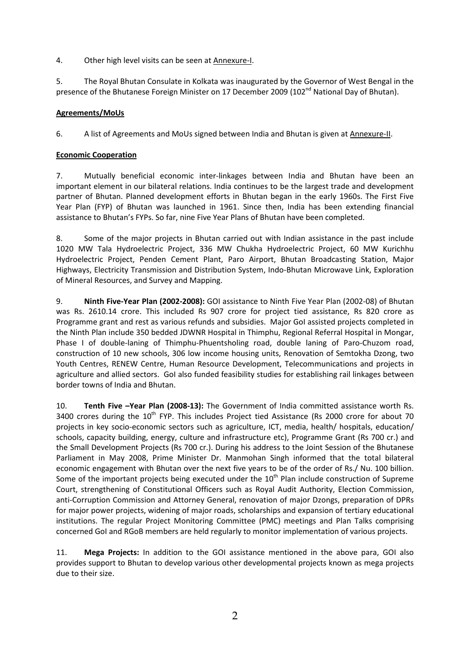4. Other high level visits can be seen at Annexure-I.

5. The Royal Bhutan Consulate in Kolkata was inaugurated by the Governor of West Bengal in the presence of the Bhutanese Foreign Minister on 17 December 2009 (102<sup>nd</sup> National Day of Bhutan).

# **Agreements/MoUs**

6. A list of Agreements and MoUs signed between India and Bhutan is given at Annexure-II.

# **Economic Cooperation**

7. Mutually beneficial economic inter-linkages between India and Bhutan have been an important element in our bilateral relations. India continues to be the largest trade and development partner of Bhutan. Planned development efforts in Bhutan began in the early 1960s. The First Five Year Plan (FYP) of Bhutan was launched in 1961. Since then, India has been extending financial assistance to Bhutan's FYPs. So far, nine Five Year Plans of Bhutan have been completed.

8. Some of the major projects in Bhutan carried out with Indian assistance in the past include 1020 MW Tala Hydroelectric Project, 336 MW Chukha Hydroelectric Project, 60 MW Kurichhu Hydroelectric Project, Penden Cement Plant, Paro Airport, Bhutan Broadcasting Station, Major Highways, Electricity Transmission and Distribution System, Indo-Bhutan Microwave Link, Exploration of Mineral Resources, and Survey and Mapping.

9. **Ninth Five-Year Plan (2002-2008):** GOI assistance to Ninth Five Year Plan (2002-08) of Bhutan was Rs. 2610.14 crore. This included Rs 907 crore for project tied assistance, Rs 820 crore as Programme grant and rest as various refunds and subsidies. Major GoI assisted projects completed in the Ninth Plan include 350 bedded JDWNR Hospital in Thimphu, Regional Referral Hospital in Mongar, Phase I of double-laning of Thimphu-Phuentsholing road, double laning of Paro-Chuzom road, construction of 10 new schools, 306 low income housing units, Renovation of Semtokha Dzong, two Youth Centres, RENEW Centre, Human Resource Development, Telecommunications and projects in agriculture and allied sectors. GoI also funded feasibility studies for establishing rail linkages between border towns of India and Bhutan.

10. **Tenth Five –Year Plan (2008-13):** The Government of India committed assistance worth Rs. 3400 crores during the  $10^{th}$  FYP. This includes Project tied Assistance (Rs 2000 crore for about 70 projects in key socio-economic sectors such as agriculture, ICT, media, health/ hospitals, education/ schools, capacity building, energy, culture and infrastructure etc), Programme Grant (Rs 700 cr.) and the Small Development Projects (Rs 700 cr.). During his address to the Joint Session of the Bhutanese Parliament in May 2008, Prime Minister Dr. Manmohan Singh informed that the total bilateral economic engagement with Bhutan over the next five years to be of the order of Rs./ Nu. 100 billion. Some of the important projects being executed under the  $10<sup>th</sup>$  Plan include construction of Supreme Court, strengthening of Constitutional Officers such as Royal Audit Authority, Election Commission, anti-Corruption Commission and Attorney General, renovation of major Dzongs, preparation of DPRs for major power projects, widening of major roads, scholarships and expansion of tertiary educational institutions. The regular Project Monitoring Committee (PMC) meetings and Plan Talks comprising concerned GoI and RGoB members are held regularly to monitor implementation of various projects.

11. **Mega Projects:** In addition to the GOI assistance mentioned in the above para, GOI also provides support to Bhutan to develop various other developmental projects known as mega projects due to their size.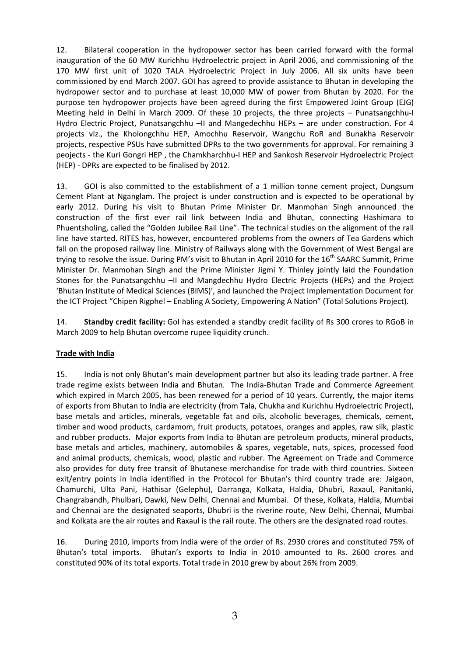12. Bilateral cooperation in the hydropower sector has been carried forward with the formal inauguration of the 60 MW Kurichhu Hydroelectric project in April 2006, and commissioning of the 170 MW first unit of 1020 TALA Hydroelectric Project in July 2006. All six units have been commissioned by end March 2007. GOI has agreed to provide assistance to Bhutan in developing the hydropower sector and to purchase at least 10,000 MW of power from Bhutan by 2020. For the purpose ten hydropower projects have been agreed during the first Empowered Joint Group (EJG) Meeting held in Delhi in March 2009. Of these 10 projects, the three projects – Punatsangchhu-I Hydro Electric Project, Punatsangchhu –II and Mangedechhu HEPs – are under construction. For 4 projects viz., the Kholongchhu HEP, Amochhu Reservoir, Wangchu RoR and Bunakha Reservoir projects, respective PSUs have submitted DPRs to the two governments for approval. For remaining 3 peojects - the Kuri Gongri HEP , the Chamkharchhu-I HEP and Sankosh Reservoir Hydroelectric Project (HEP) - DPRs are expected to be finalised by 2012.

13. GOI is also committed to the establishment of a 1 million tonne cement project, Dungsum Cement Plant at Nganglam. The project is under construction and is expected to be operational by early 2012. During his visit to Bhutan Prime Minister Dr. Manmohan Singh announced the construction of the first ever rail link between India and Bhutan, connecting Hashimara to Phuentsholing, called the "Golden Jubilee Rail Line". The technical studies on the alignment of the rail line have started. RITES has, however, encountered problems from the owners of Tea Gardens which fall on the proposed railway line. Ministry of Railways along with the Government of West Bengal are trying to resolve the issue. During PM's visit to Bhutan in April 2010 for the 16<sup>th</sup> SAARC Summit, Prime Minister Dr. Manmohan Singh and the Prime Minister Jigmi Y. Thinley jointly laid the Foundation Stones for the Punatsangchhu –II and Mangdechhu Hydro Electric Projects (HEPs) and the Project 'Bhutan Institute of Medical Sciences (BIMS)', and launched the Project Implementation Document for the ICT Project "Chipen Rigphel – Enabling A Society, Empowering A Nation" (Total Solutions Project).

14. **Standby credit facility:** GoI has extended a standby credit facility of Rs 300 crores to RGoB in March 2009 to help Bhutan overcome rupee liquidity crunch.

# **Trade with India**

15. India is not only Bhutan's main development partner but also its leading trade partner. A free trade regime exists between India and Bhutan. The India-Bhutan Trade and Commerce Agreement which expired in March 2005, has been renewed for a period of 10 years. Currently, the major items of exports from Bhutan to India are electricity (from Tala, Chukha and Kurichhu Hydroelectric Project), base metals and articles, minerals, vegetable fat and oils, alcoholic beverages, chemicals, cement, timber and wood products, cardamom, fruit products, potatoes, oranges and apples, raw silk, plastic and rubber products. Major exports from India to Bhutan are petroleum products, mineral products, base metals and articles, machinery, automobiles & spares, vegetable, nuts, spices, processed food and animal products, chemicals, wood, plastic and rubber. The Agreement on Trade and Commerce also provides for duty free transit of Bhutanese merchandise for trade with third countries. Sixteen exit/entry points in India identified in the Protocol for Bhutan's third country trade are: Jaigaon, Chamurchi, Ulta Pani, Hathisar (Gelephu), Darranga, Kolkata, Haldia, Dhubri, Raxaul, Panitanki, Changrabandh, Phulbari, Dawki, New Delhi, Chennai and Mumbai. Of these, Kolkata, Haldia, Mumbai and Chennai are the designated seaports, Dhubri is the riverine route, New Delhi, Chennai, Mumbai and Kolkata are the air routes and Raxaul is the rail route. The others are the designated road routes.

16. During 2010, imports from India were of the order of Rs. 2930 crores and constituted 75% of Bhutan's total imports. Bhutan's exports to India in 2010 amounted to Rs. 2600 crores and constituted 90% of its total exports. Total trade in 2010 grew by about 26% from 2009.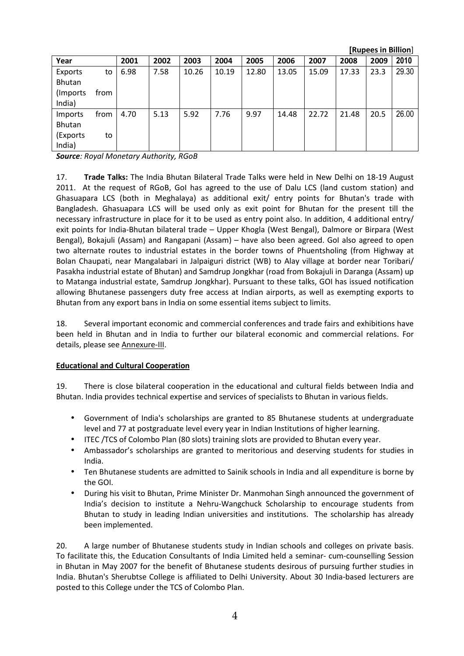|               |      |      |      |       |       |       |       |       |       | [Rupees in Billion] |       |
|---------------|------|------|------|-------|-------|-------|-------|-------|-------|---------------------|-------|
| Year          |      | 2001 | 2002 | 2003  | 2004  | 2005  | 2006  | 2007  | 2008  | 2009                | 2010  |
| Exports       | to   | 6.98 | 7.58 | 10.26 | 10.19 | 12.80 | 13.05 | 15.09 | 17.33 | 23.3                | 29.30 |
| <b>Bhutan</b> |      |      |      |       |       |       |       |       |       |                     |       |
| (Imports)     | from |      |      |       |       |       |       |       |       |                     |       |
| India)        |      |      |      |       |       |       |       |       |       |                     |       |
| Imports       | from | 4.70 | 5.13 | 5.92  | 7.76  | 9.97  | 14.48 | 22.72 | 21.48 | 20.5                | 26.00 |
| Bhutan        |      |      |      |       |       |       |       |       |       |                     |       |
| (Exports      | to   |      |      |       |       |       |       |       |       |                     |       |
| India)        |      |      |      |       |       |       |       |       |       |                     |       |

*Source: Royal Monetary Authority, RGoB* 

17. **Trade Talks:** The India Bhutan Bilateral Trade Talks were held in New Delhi on 18-19 August 2011. At the request of RGoB, GoI has agreed to the use of Dalu LCS (land custom station) and Ghasuapara LCS (both in Meghalaya) as additional exit/ entry points for Bhutan's trade with Bangladesh. Ghasuapara LCS will be used only as exit point for Bhutan for the present till the necessary infrastructure in place for it to be used as entry point also. In addition, 4 additional entry/ exit points for India-Bhutan bilateral trade – Upper Khogla (West Bengal), Dalmore or Birpara (West Bengal), Bokajuli (Assam) and Rangapani (Assam) – have also been agreed. GoI also agreed to open two alternate routes to industrial estates in the border towns of Phuentsholing (from Highway at Bolan Chaupati, near Mangalabari in Jalpaiguri district (WB) to Alay village at border near Toribari/ Pasakha industrial estate of Bhutan) and Samdrup Jongkhar (road from Bokajuli in Daranga (Assam) up to Matanga industrial estate, Samdrup Jongkhar). Pursuant to these talks, GOI has issued notification allowing Bhutanese passengers duty free access at Indian airports, as well as exempting exports to Bhutan from any export bans in India on some essential items subject to limits.

18. Several important economic and commercial conferences and trade fairs and exhibitions have been held in Bhutan and in India to further our bilateral economic and commercial relations. For details, please see Annexure-III.

#### **Educational and Cultural Cooperation**

19. There is close bilateral cooperation in the educational and cultural fields between India and Bhutan. India provides technical expertise and services of specialists to Bhutan in various fields.

- Government of India's scholarships are granted to 85 Bhutanese students at undergraduate level and 77 at postgraduate level every year in Indian Institutions of higher learning.
- ITEC /TCS of Colombo Plan (80 slots) training slots are provided to Bhutan every year.
- Ambassador's scholarships are granted to meritorious and deserving students for studies in India.
- Ten Bhutanese students are admitted to Sainik schools in India and all expenditure is borne by the GOI.
- During his visit to Bhutan, Prime Minister Dr. Manmohan Singh announced the government of India's decision to institute a Nehru-Wangchuck Scholarship to encourage students from Bhutan to study in leading Indian universities and institutions. The scholarship has already been implemented.

20. A large number of Bhutanese students study in Indian schools and colleges on private basis. To facilitate this, the Education Consultants of India Limited held a seminar- cum-counselling Session in Bhutan in May 2007 for the benefit of Bhutanese students desirous of pursuing further studies in India. Bhutan's Sherubtse College is affiliated to Delhi University. About 30 India-based lecturers are posted to this College under the TCS of Colombo Plan.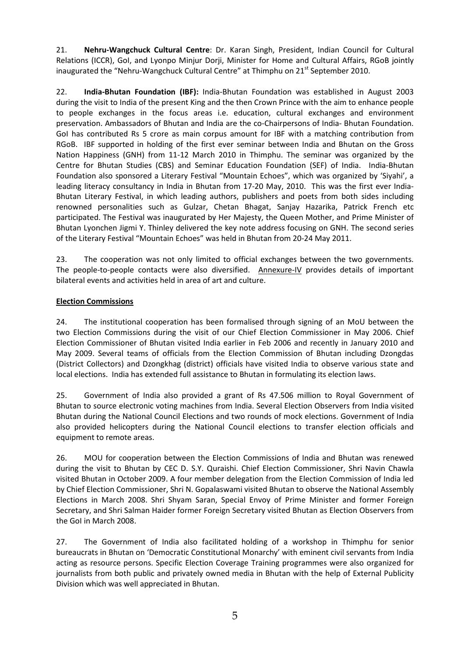21. **Nehru-Wangchuck Cultural Centre**: Dr. Karan Singh, President, Indian Council for Cultural Relations (ICCR), GoI, and Lyonpo Minjur Dorji, Minister for Home and Cultural Affairs, RGoB jointly inaugurated the "Nehru-Wangchuck Cultural Centre" at Thimphu on  $21<sup>st</sup>$  September 2010.

22. **India-Bhutan Foundation (IBF):** India-Bhutan Foundation was established in August 2003 during the visit to India of the present King and the then Crown Prince with the aim to enhance people to people exchanges in the focus areas i.e. education, cultural exchanges and environment preservation. Ambassadors of Bhutan and India are the co-Chairpersons of India- Bhutan Foundation. GoI has contributed Rs 5 crore as main corpus amount for IBF with a matching contribution from RGoB. IBF supported in holding of the first ever seminar between India and Bhutan on the Gross Nation Happiness (GNH) from 11-12 March 2010 in Thimphu. The seminar was organized by the Centre for Bhutan Studies (CBS) and Seminar Education Foundation (SEF) of India. India-Bhutan Foundation also sponsored a Literary Festival "Mountain Echoes", which was organized by 'Siyahi', a leading literacy consultancy in India in Bhutan from 17-20 May, 2010. This was the first ever India-Bhutan Literary Festival, in which leading authors, publishers and poets from both sides including renowned personalities such as Gulzar, Chetan Bhagat, Sanjay Hazarika, Patrick French etc participated. The Festival was inaugurated by Her Majesty, the Queen Mother, and Prime Minister of Bhutan Lyonchen Jigmi Y. Thinley delivered the key note address focusing on GNH. The second series of the Literary Festival "Mountain Echoes" was held in Bhutan from 20-24 May 2011.

23. The cooperation was not only limited to official exchanges between the two governments. The people-to-people contacts were also diversified. Annexure-IV provides details of important bilateral events and activities held in area of art and culture.

# **Election Commissions**

24. The institutional cooperation has been formalised through signing of an MoU between the two Election Commissions during the visit of our Chief Election Commissioner in May 2006. Chief Election Commissioner of Bhutan visited India earlier in Feb 2006 and recently in January 2010 and May 2009. Several teams of officials from the Election Commission of Bhutan including Dzongdas (District Collectors) and Dzongkhag (district) officials have visited India to observe various state and local elections. India has extended full assistance to Bhutan in formulating its election laws.

25. Government of India also provided a grant of Rs 47.506 million to Royal Government of Bhutan to source electronic voting machines from India. Several Election Observers from India visited Bhutan during the National Council Elections and two rounds of mock elections. Government of India also provided helicopters during the National Council elections to transfer election officials and equipment to remote areas.

26. MOU for cooperation between the Election Commissions of India and Bhutan was renewed during the visit to Bhutan by CEC D. S.Y. Quraishi. Chief Election Commissioner, Shri Navin Chawla visited Bhutan in October 2009. A four member delegation from the Election Commission of India led by Chief Election Commissioner, Shri N. Gopalaswami visited Bhutan to observe the National Assembly Elections in March 2008. Shri Shyam Saran, Special Envoy of Prime Minister and former Foreign Secretary, and Shri Salman Haider former Foreign Secretary visited Bhutan as Election Observers from the GoI in March 2008.

27. The Government of India also facilitated holding of a workshop in Thimphu for senior bureaucrats in Bhutan on 'Democratic Constitutional Monarchy' with eminent civil servants from India acting as resource persons. Specific Election Coverage Training programmes were also organized for journalists from both public and privately owned media in Bhutan with the help of External Publicity Division which was well appreciated in Bhutan.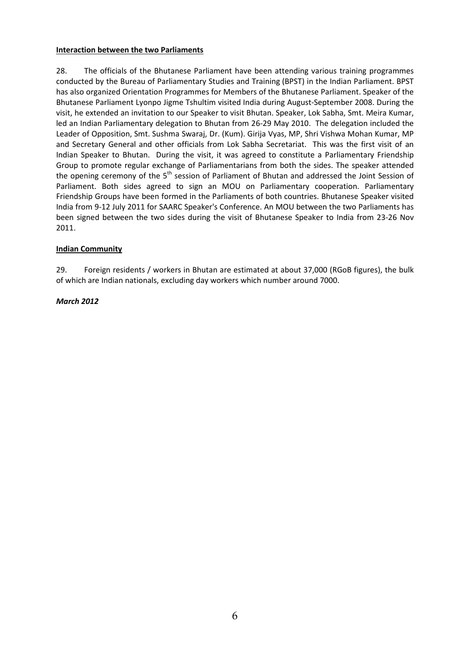#### **Interaction between the two Parliaments**

28. The officials of the Bhutanese Parliament have been attending various training programmes conducted by the Bureau of Parliamentary Studies and Training (BPST) in the Indian Parliament. BPST has also organized Orientation Programmes for Members of the Bhutanese Parliament. Speaker of the Bhutanese Parliament Lyonpo Jigme Tshultim visited India during August-September 2008. During the visit, he extended an invitation to our Speaker to visit Bhutan. Speaker, Lok Sabha, Smt. Meira Kumar, led an Indian Parliamentary delegation to Bhutan from 26-29 May 2010. The delegation included the Leader of Opposition, Smt. Sushma Swaraj, Dr. (Kum). Girija Vyas, MP, Shri Vishwa Mohan Kumar, MP and Secretary General and other officials from Lok Sabha Secretariat. This was the first visit of an Indian Speaker to Bhutan. During the visit, it was agreed to constitute a Parliamentary Friendship Group to promote regular exchange of Parliamentarians from both the sides. The speaker attended the opening ceremony of the 5<sup>th</sup> session of Parliament of Bhutan and addressed the Joint Session of Parliament. Both sides agreed to sign an MOU on Parliamentary cooperation. Parliamentary Friendship Groups have been formed in the Parliaments of both countries. Bhutanese Speaker visited India from 9-12 July 2011 for SAARC Speaker's Conference. An MOU between the two Parliaments has been signed between the two sides during the visit of Bhutanese Speaker to India from 23-26 Nov 2011.

# **Indian Community**

29. Foreign residents / workers in Bhutan are estimated at about 37,000 (RGoB figures), the bulk of which are Indian nationals, excluding day workers which number around 7000.

# *March 2012*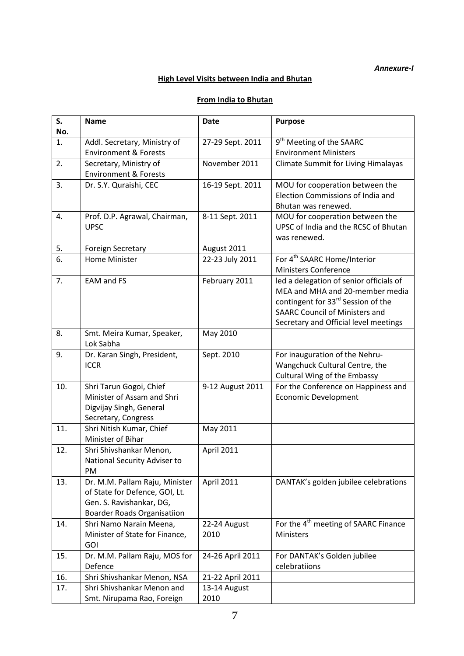# *Annexure-I*

# **High Level Visits between India and Bhutan**

# **From India to Bhutan**

| S.  | <b>Name</b>                                                   | <b>Date</b>      | <b>Purpose</b>                                                 |
|-----|---------------------------------------------------------------|------------------|----------------------------------------------------------------|
| No. |                                                               |                  |                                                                |
| 1.  | Addl. Secretary, Ministry of                                  | 27-29 Sept. 2011 | 9 <sup>th</sup> Meeting of the SAARC                           |
|     | <b>Environment &amp; Forests</b>                              |                  | <b>Environment Ministers</b>                                   |
| 2.  | Secretary, Ministry of                                        | November 2011    | <b>Climate Summit for Living Himalayas</b>                     |
|     | <b>Environment &amp; Forests</b>                              |                  |                                                                |
| 3.  | Dr. S.Y. Quraishi, CEC                                        | 16-19 Sept. 2011 | MOU for cooperation between the                                |
|     |                                                               |                  | Election Commissions of India and<br>Bhutan was renewed.       |
| 4.  | Prof. D.P. Agrawal, Chairman,                                 | 8-11 Sept. 2011  | MOU for cooperation between the                                |
|     | <b>UPSC</b>                                                   |                  | UPSC of India and the RCSC of Bhutan                           |
|     |                                                               |                  | was renewed.                                                   |
| 5.  | <b>Foreign Secretary</b>                                      | August 2011      |                                                                |
| 6.  | Home Minister                                                 | 22-23 July 2011  | For 4 <sup>th</sup> SAARC Home/Interior                        |
|     |                                                               |                  | <b>Ministers Conference</b>                                    |
| 7.  | <b>EAM and FS</b>                                             | February 2011    | led a delegation of senior officials of                        |
|     |                                                               |                  | MEA and MHA and 20-member media                                |
|     |                                                               |                  | contingent for 33 <sup>rd</sup> Session of the                 |
|     |                                                               |                  | <b>SAARC Council of Ministers and</b>                          |
|     |                                                               |                  | Secretary and Official level meetings                          |
| 8.  | Smt. Meira Kumar, Speaker,                                    | May 2010         |                                                                |
|     | Lok Sabha                                                     |                  |                                                                |
| 9.  | Dr. Karan Singh, President,<br><b>ICCR</b>                    | Sept. 2010       | For inauguration of the Nehru-                                 |
|     |                                                               |                  | Wangchuck Cultural Centre, the<br>Cultural Wing of the Embassy |
| 10. | Shri Tarun Gogoi, Chief                                       | 9-12 August 2011 | For the Conference on Happiness and                            |
|     | Minister of Assam and Shri                                    |                  | <b>Economic Development</b>                                    |
|     | Digvijay Singh, General                                       |                  |                                                                |
|     | Secretary, Congress                                           |                  |                                                                |
| 11. | Shri Nitish Kumar, Chief                                      | May 2011         |                                                                |
|     | Minister of Bihar                                             |                  |                                                                |
| 12. | Shri Shivshankar Menon,                                       | April 2011       |                                                                |
|     | National Security Adviser to                                  |                  |                                                                |
|     | PM                                                            |                  |                                                                |
| 13. | Dr. M.M. Pallam Raju, Minister                                | April 2011       | DANTAK's golden jubilee celebrations                           |
|     | of State for Defence, GOI, Lt.                                |                  |                                                                |
|     | Gen. S. Ravishankar, DG,                                      |                  |                                                                |
| 14. | <b>Boarder Roads Organisatiion</b><br>Shri Namo Narain Meena, | 22-24 August     | For the 4 <sup>th</sup> meeting of SAARC Finance               |
|     | Minister of State for Finance,                                | 2010             | Ministers                                                      |
|     | <b>GOI</b>                                                    |                  |                                                                |
| 15. | Dr. M.M. Pallam Raju, MOS for                                 | 24-26 April 2011 | For DANTAK's Golden jubilee                                    |
|     | Defence                                                       |                  | celebratiions                                                  |
| 16. | Shri Shivshankar Menon, NSA                                   | 21-22 April 2011 |                                                                |
| 17. | Shri Shivshankar Menon and                                    | 13-14 August     |                                                                |
|     | Smt. Nirupama Rao, Foreign                                    | 2010             |                                                                |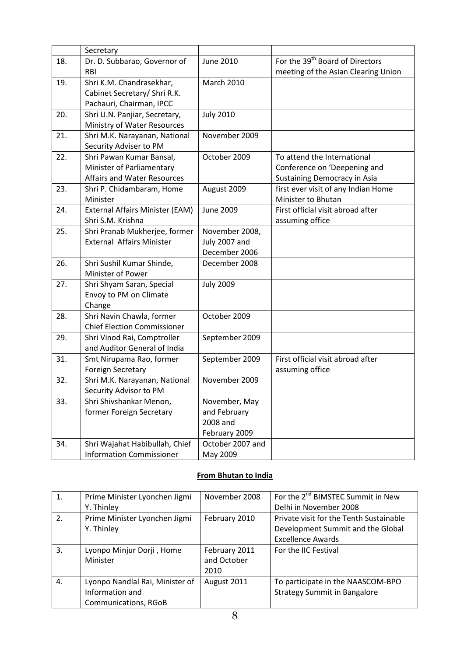|     | Secretary                          |                   |                                             |  |
|-----|------------------------------------|-------------------|---------------------------------------------|--|
| 18. | Dr. D. Subbarao, Governor of       | June 2010         | For the 39 <sup>th</sup> Board of Directors |  |
|     | <b>RBI</b>                         |                   | meeting of the Asian Clearing Union         |  |
| 19. | Shri K.M. Chandrasekhar,           | <b>March 2010</b> |                                             |  |
|     | Cabinet Secretary/ Shri R.K.       |                   |                                             |  |
|     | Pachauri, Chairman, IPCC           |                   |                                             |  |
| 20. | Shri U.N. Panjiar, Secretary,      | <b>July 2010</b>  |                                             |  |
|     | Ministry of Water Resources        |                   |                                             |  |
| 21. | Shri M.K. Narayanan, National      | November 2009     |                                             |  |
|     | Security Adviser to PM             |                   |                                             |  |
| 22. | Shri Pawan Kumar Bansal,           | October 2009      | To attend the International                 |  |
|     | Minister of Parliamentary          |                   | Conference on 'Deepening and                |  |
|     | Affairs and Water Resources        |                   | <b>Sustaining Democracy in Asia</b>         |  |
| 23. | Shri P. Chidambaram, Home          | August 2009       | first ever visit of any Indian Home         |  |
|     | Minister                           |                   | Minister to Bhutan                          |  |
| 24. | External Affairs Minister (EAM)    | <b>June 2009</b>  | First official visit abroad after           |  |
|     | Shri S.M. Krishna                  |                   | assuming office                             |  |
| 25. | Shri Pranab Mukherjee, former      | November 2008,    |                                             |  |
|     | <b>External Affairs Minister</b>   | July 2007 and     |                                             |  |
|     |                                    | December 2006     |                                             |  |
| 26. | Shri Sushil Kumar Shinde,          | December 2008     |                                             |  |
|     | Minister of Power                  |                   |                                             |  |
| 27. | Shri Shyam Saran, Special          | <b>July 2009</b>  |                                             |  |
|     | Envoy to PM on Climate             |                   |                                             |  |
|     | Change                             |                   |                                             |  |
| 28. | Shri Navin Chawla, former          | October 2009      |                                             |  |
|     | <b>Chief Election Commissioner</b> |                   |                                             |  |
| 29. | Shri Vinod Rai, Comptroller        | September 2009    |                                             |  |
|     | and Auditor General of India       |                   |                                             |  |
| 31. | Smt Nirupama Rao, former           | September 2009    | First official visit abroad after           |  |
|     | <b>Foreign Secretary</b>           |                   | assuming office                             |  |
| 32. | Shri M.K. Narayanan, National      | November 2009     |                                             |  |
|     | Security Advisor to PM             |                   |                                             |  |
| 33. | Shri Shivshankar Menon,            | November, May     |                                             |  |
|     | former Foreign Secretary           | and February      |                                             |  |
|     |                                    | 2008 and          |                                             |  |
|     |                                    | February 2009     |                                             |  |
| 34. | Shri Wajahat Habibullah, Chief     | October 2007 and  |                                             |  |
|     | <b>Information Commissioner</b>    | May 2009          |                                             |  |

# **From Bhutan to India**

| 1. | Prime Minister Lyonchen Jigmi   | November 2008 | For the 2 <sup>nd</sup> BIMSTEC Summit in New |
|----|---------------------------------|---------------|-----------------------------------------------|
|    | Y. Thinley                      |               | Delhi in November 2008                        |
| 2. | Prime Minister Lyonchen Jigmi   | February 2010 | Private visit for the Tenth Sustainable       |
|    | Y. Thinley                      |               | Development Summit and the Global             |
|    |                                 |               | <b>Excellence Awards</b>                      |
| 3. | Lyonpo Minjur Dorji, Home       | February 2011 | For the IIC Festival                          |
|    | Minister                        | and October   |                                               |
|    |                                 | 2010          |                                               |
| 4. | Lyonpo Nandlal Rai, Minister of | August 2011   | To participate in the NAASCOM-BPO             |
|    | Information and                 |               | <b>Strategy Summit in Bangalore</b>           |
|    | <b>Communications, RGoB</b>     |               |                                               |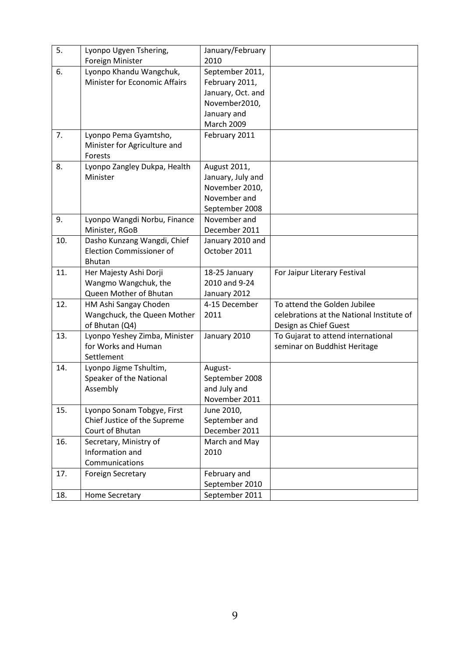| 5.  | Lyonpo Ugyen Tshering,               | January/February  |                                           |
|-----|--------------------------------------|-------------------|-------------------------------------------|
|     | Foreign Minister                     | 2010              |                                           |
| 6.  | Lyonpo Khandu Wangchuk,              | September 2011,   |                                           |
|     | <b>Minister for Economic Affairs</b> | February 2011,    |                                           |
|     |                                      | January, Oct. and |                                           |
|     |                                      | November2010,     |                                           |
|     |                                      | January and       |                                           |
|     |                                      | <b>March 2009</b> |                                           |
| 7.  | Lyonpo Pema Gyamtsho,                | February 2011     |                                           |
|     | Minister for Agriculture and         |                   |                                           |
|     | Forests                              |                   |                                           |
| 8.  | Lyonpo Zangley Dukpa, Health         | August 2011,      |                                           |
|     | Minister                             | January, July and |                                           |
|     |                                      | November 2010,    |                                           |
|     |                                      | November and      |                                           |
|     |                                      | September 2008    |                                           |
| 9.  | Lyonpo Wangdi Norbu, Finance         | November and      |                                           |
|     | Minister, RGoB                       | December 2011     |                                           |
| 10. | Dasho Kunzang Wangdi, Chief          | January 2010 and  |                                           |
|     | <b>Election Commissioner of</b>      | October 2011      |                                           |
|     | <b>Bhutan</b>                        |                   |                                           |
| 11. | Her Majesty Ashi Dorji               | 18-25 January     | For Jaipur Literary Festival              |
|     | Wangmo Wangchuk, the                 | 2010 and 9-24     |                                           |
|     | Queen Mother of Bhutan               | January 2012      |                                           |
| 12. | HM Ashi Sangay Choden                | 4-15 December     | To attend the Golden Jubilee              |
|     | Wangchuck, the Queen Mother          | 2011              | celebrations at the National Institute of |
|     | of Bhutan (Q4)                       |                   | Design as Chief Guest                     |
| 13. | Lyonpo Yeshey Zimba, Minister        | January 2010      | To Gujarat to attend international        |
|     | for Works and Human                  |                   | seminar on Buddhist Heritage              |
|     | Settlement                           |                   |                                           |
| 14. | Lyonpo Jigme Tshultim,               | August-           |                                           |
|     | Speaker of the National              | September 2008    |                                           |
|     | Assembly                             | and July and      |                                           |
|     |                                      | November 2011     |                                           |
| 15. | Lyonpo Sonam Tobgye, First           | June 2010,        |                                           |
|     | Chief Justice of the Supreme         | September and     |                                           |
|     | Court of Bhutan                      | December 2011     |                                           |
| 16. | Secretary, Ministry of               | March and May     |                                           |
|     | Information and                      | 2010              |                                           |
|     | Communications                       |                   |                                           |
| 17. | <b>Foreign Secretary</b>             | February and      |                                           |
|     |                                      | September 2010    |                                           |
| 18. | Home Secretary                       | September 2011    |                                           |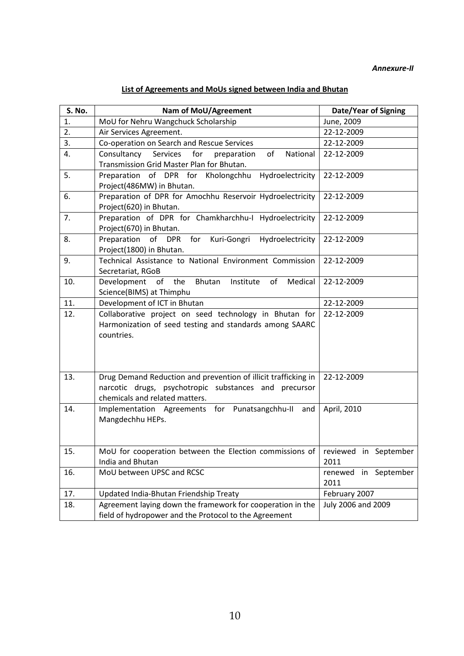# **List of Agreements and MoUs signed between India and Bhutan**

| S. No. | Nam of MoU/Agreement                                                                                                                                      | Date/Year of Signing         |  |  |  |
|--------|-----------------------------------------------------------------------------------------------------------------------------------------------------------|------------------------------|--|--|--|
| 1.     | MoU for Nehru Wangchuck Scholarship                                                                                                                       | June, 2009                   |  |  |  |
| 2.     | Air Services Agreement.                                                                                                                                   | 22-12-2009                   |  |  |  |
| 3.     | Co-operation on Search and Rescue Services                                                                                                                | 22-12-2009                   |  |  |  |
| 4.     | Consultancy Services for<br>of<br>National<br>preparation                                                                                                 | 22-12-2009                   |  |  |  |
|        | Transmission Grid Master Plan for Bhutan.                                                                                                                 |                              |  |  |  |
| 5.     | Preparation of DPR for Kholongchhu Hydroelectricity<br>Project(486MW) in Bhutan.                                                                          | 22-12-2009                   |  |  |  |
| 6.     | Preparation of DPR for Amochhu Reservoir Hydroelectricity                                                                                                 | 22-12-2009                   |  |  |  |
|        | Project(620) in Bhutan.                                                                                                                                   |                              |  |  |  |
| 7.     | Preparation of DPR for Chamkharchhu-I Hydroelectricity<br>Project(670) in Bhutan.                                                                         | 22-12-2009                   |  |  |  |
| 8.     | Preparation of DPR for Kuri-Gongri Hydroelectricity                                                                                                       | 22-12-2009                   |  |  |  |
|        | Project(1800) in Bhutan.                                                                                                                                  |                              |  |  |  |
| 9.     | Technical Assistance to National Environment Commission                                                                                                   | 22-12-2009                   |  |  |  |
|        | Secretariat, RGoB                                                                                                                                         |                              |  |  |  |
| 10.    | Development<br>of the<br>Bhutan<br>of<br>Medical<br>Institute                                                                                             | 22-12-2009                   |  |  |  |
|        | Science(BIMS) at Thimphu                                                                                                                                  |                              |  |  |  |
| 11.    | Development of ICT in Bhutan                                                                                                                              | 22-12-2009                   |  |  |  |
| 12.    | Collaborative project on seed technology in Bhutan for<br>Harmonization of seed testing and standards among SAARC<br>countries.                           | 22-12-2009                   |  |  |  |
| 13.    | Drug Demand Reduction and prevention of illicit trafficking in<br>narcotic drugs, psychotropic substances and precursor<br>chemicals and related matters. | 22-12-2009                   |  |  |  |
| 14.    | Implementation Agreements for Punatsangchhu-II and<br>Mangdechhu HEPs.                                                                                    | April, 2010                  |  |  |  |
| 15.    | MoU for cooperation between the Election commissions of   reviewed in September                                                                           |                              |  |  |  |
|        | India and Bhutan                                                                                                                                          | 2011                         |  |  |  |
| 16.    | MoU between UPSC and RCSC                                                                                                                                 | renewed in September<br>2011 |  |  |  |
| 17.    | Updated India-Bhutan Friendship Treaty                                                                                                                    | February 2007                |  |  |  |
| 18.    | Agreement laying down the framework for cooperation in the<br>field of hydropower and the Protocol to the Agreement                                       | July 2006 and 2009           |  |  |  |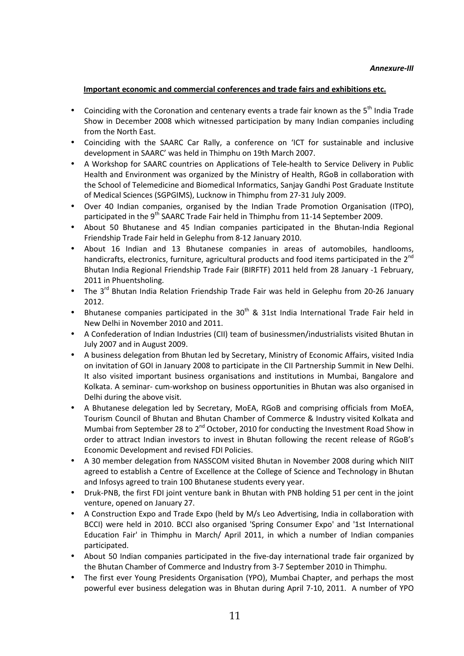# **Important economic and commercial conferences and trade fairs and exhibitions etc.**

- Coinciding with the Coronation and centenary events a trade fair known as the  $5<sup>th</sup>$  India Trade Show in December 2008 which witnessed participation by many Indian companies including from the North East.
- Coinciding with the SAARC Car Rally, a conference on 'ICT for sustainable and inclusive development in SAARC' was held in Thimphu on 19th March 2007.
- A Workshop for SAARC countries on Applications of Tele-health to Service Delivery in Public Health and Environment was organized by the Ministry of Health, RGoB in collaboration with the School of Telemedicine and Biomedical Informatics, Sanjay Gandhi Post Graduate Institute of Medical Sciences (SGPGIMS), Lucknow in Thimphu from 27-31 July 2009.
- Over 40 Indian companies, organised by the Indian Trade Promotion Organisation (ITPO), participated in the 9<sup>th</sup> SAARC Trade Fair held in Thimphu from 11-14 September 2009.
- About 50 Bhutanese and 45 Indian companies participated in the Bhutan-India Regional Friendship Trade Fair held in Gelephu from 8-12 January 2010.
- About 16 Indian and 13 Bhutanese companies in areas of automobiles, handlooms, handicrafts, electronics, furniture, agricultural products and food items participated in the 2<sup>nd</sup> Bhutan India Regional Friendship Trade Fair (BIRFTF) 2011 held from 28 January -1 February, 2011 in Phuentsholing.
- The 3<sup>rd</sup> Bhutan India Relation Friendship Trade Fair was held in Gelephu from 20-26 January 2012.
- Bhutanese companies participated in the  $30<sup>th</sup>$  & 31st India International Trade Fair held in New Delhi in November 2010 and 2011.
- A Confederation of Indian Industries (CII) team of businessmen/industrialists visited Bhutan in July 2007 and in August 2009.
- A business delegation from Bhutan led by Secretary, Ministry of Economic Affairs, visited India on invitation of GOI in January 2008 to participate in the CII Partnership Summit in New Delhi. It also visited important business organisations and institutions in Mumbai, Bangalore and Kolkata. A seminar- cum-workshop on business opportunities in Bhutan was also organised in Delhi during the above visit.
- A Bhutanese delegation led by Secretary, MoEA, RGoB and comprising officials from MoEA, Tourism Council of Bhutan and Bhutan Chamber of Commerce & Industry visited Kolkata and Mumbai from September 28 to  $2^{nd}$  October, 2010 for conducting the Investment Road Show in order to attract Indian investors to invest in Bhutan following the recent release of RGoB's Economic Development and revised FDI Policies.
- A 30 member delegation from NASSCOM visited Bhutan in November 2008 during which NIIT agreed to establish a Centre of Excellence at the College of Science and Technology in Bhutan and Infosys agreed to train 100 Bhutanese students every year.
- Druk-PNB, the first FDI joint venture bank in Bhutan with PNB holding 51 per cent in the joint venture, opened on January 27.
- A Construction Expo and Trade Expo (held by M/s Leo Advertising, India in collaboration with BCCI) were held in 2010. BCCI also organised 'Spring Consumer Expo' and '1st International Education Fair' in Thimphu in March/ April 2011, in which a number of Indian companies participated.
- About 50 Indian companies participated in the five-day international trade fair organized by the Bhutan Chamber of Commerce and Industry from 3-7 September 2010 in Thimphu.
- The first ever Young Presidents Organisation (YPO), Mumbai Chapter, and perhaps the most powerful ever business delegation was in Bhutan during April 7-10, 2011. A number of YPO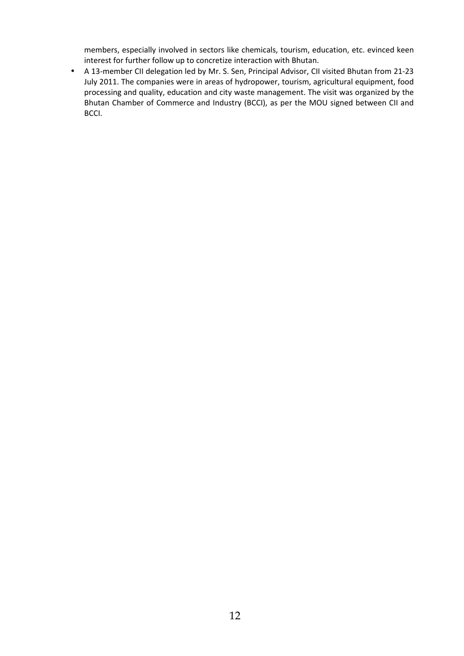members, especially involved in sectors like chemicals, tourism, education, etc. evinced keen interest for further follow up to concretize interaction with Bhutan.

• A 13-member CII delegation led by Mr. S. Sen, Principal Advisor, CII visited Bhutan from 21-23 July 2011. The companies were in areas of hydropower, tourism, agricultural equipment, food processing and quality, education and city waste management. The visit was organized by the Bhutan Chamber of Commerce and Industry (BCCI), as per the MOU signed between CII and BCCI.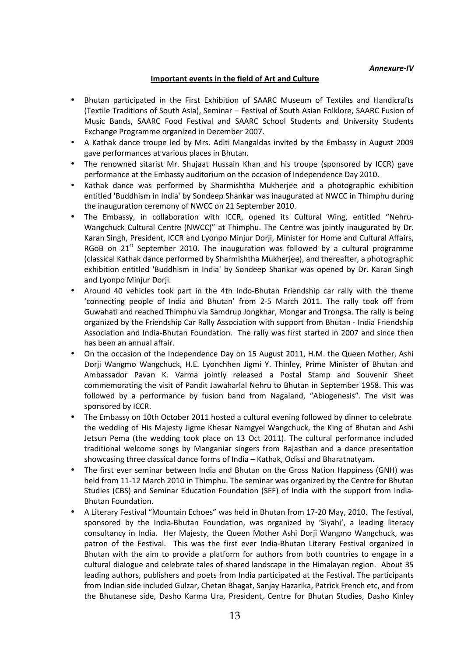# **Important events in the field of Art and Culture**

- Bhutan participated in the First Exhibition of SAARC Museum of Textiles and Handicrafts (Textile Traditions of South Asia), Seminar – Festival of South Asian Folklore, SAARC Fusion of Music Bands, SAARC Food Festival and SAARC School Students and University Students Exchange Programme organized in December 2007.
- A Kathak dance troupe led by Mrs. Aditi Mangaldas invited by the Embassy in August 2009 gave performances at various places in Bhutan.
- The renowned sitarist Mr. Shujaat Hussain Khan and his troupe (sponsored by ICCR) gave performance at the Embassy auditorium on the occasion of Independence Day 2010.
- Kathak dance was performed by Sharmishtha Mukherjee and a photographic exhibition entitled 'Buddhism in India' by Sondeep Shankar was inaugurated at NWCC in Thimphu during the inauguration ceremony of NWCC on 21 September 2010.
- The Embassy, in collaboration with ICCR, opened its Cultural Wing, entitled "Nehru-Wangchuck Cultural Centre (NWCC)" at Thimphu. The Centre was jointly inaugurated by Dr. Karan Singh, President, ICCR and Lyonpo Minjur Dorji, Minister for Home and Cultural Affairs, RGoB on  $21^{st}$  September 2010. The inauguration was followed by a cultural programme (classical Kathak dance performed by Sharmishtha Mukherjee), and thereafter, a photographic exhibition entitled 'Buddhism in India' by Sondeep Shankar was opened by Dr. Karan Singh and Lyonpo Minjur Dorji.
- Around 40 vehicles took part in the 4th Indo-Bhutan Friendship car rally with the theme 'connecting people of India and Bhutan' from 2-5 March 2011. The rally took off from Guwahati and reached Thimphu via Samdrup Jongkhar, Mongar and Trongsa. The rally is being organized by the Friendship Car Rally Association with support from Bhutan - India Friendship Association and India-Bhutan Foundation. The rally was first started in 2007 and since then has been an annual affair.
- On the occasion of the Independence Day on 15 August 2011, H.M. the Queen Mother, Ashi Dorji Wangmo Wangchuck, H.E. Lyonchhen Jigmi Y. Thinley, Prime Minister of Bhutan and Ambassador Pavan K. Varma jointly released a Postal Stamp and Souvenir Sheet commemorating the visit of Pandit Jawaharlal Nehru to Bhutan in September 1958. This was followed by a performance by fusion band from Nagaland, "Abiogenesis". The visit was sponsored by ICCR.
- The Embassy on 10th October 2011 hosted a cultural evening followed by dinner to celebrate the wedding of His Majesty Jigme Khesar Namgyel Wangchuck, the King of Bhutan and Ashi Jetsun Pema (the wedding took place on 13 Oct 2011). The cultural performance included traditional welcome songs by Manganiar singers from Rajasthan and a dance presentation showcasing three classical dance forms of India – Kathak, Odissi and Bharatnatyam.
- The first ever seminar between India and Bhutan on the Gross Nation Happiness (GNH) was held from 11-12 March 2010 in Thimphu. The seminar was organized by the Centre for Bhutan Studies (CBS) and Seminar Education Foundation (SEF) of India with the support from India-Bhutan Foundation.
- A Literary Festival "Mountain Echoes" was held in Bhutan from 17-20 May, 2010. The festival, sponsored by the India-Bhutan Foundation, was organized by 'Siyahi', a leading literacy consultancy in India. Her Majesty, the Queen Mother Ashi Dorji Wangmo Wangchuck, was patron of the Festival. This was the first ever India-Bhutan Literary Festival organized in Bhutan with the aim to provide a platform for authors from both countries to engage in a cultural dialogue and celebrate tales of shared landscape in the Himalayan region. About 35 leading authors, publishers and poets from India participated at the Festival. The participants from Indian side included Gulzar, Chetan Bhagat, Sanjay Hazarika, Patrick French etc, and from the Bhutanese side, Dasho Karma Ura, President, Centre for Bhutan Studies, Dasho Kinley